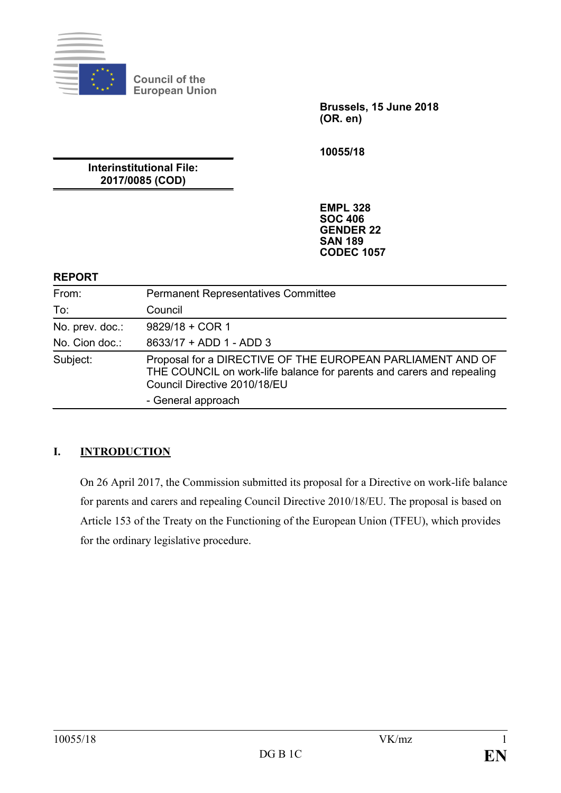

**Council of the European Union**

> **Brussels, 15 June 2018 (OR. en)**

**10055/18**

**Interinstitutional File: 2017/0085 (COD)**

> **EMPL 328 SOC 406 GENDER 22 SAN 189 CODEC 1057**

#### **REPORT**

| From:           | <b>Permanent Representatives Committee</b>                                                                                                                          |
|-----------------|---------------------------------------------------------------------------------------------------------------------------------------------------------------------|
| To:             | Council                                                                                                                                                             |
| No. prev. doc.: | $9829/18 + COR 1$                                                                                                                                                   |
| No. Cion doc.:  | 8633/17 + ADD 1 - ADD 3                                                                                                                                             |
| Subject:        | Proposal for a DIRECTIVE OF THE EUROPEAN PARLIAMENT AND OF<br>THE COUNCIL on work-life balance for parents and carers and repealing<br>Council Directive 2010/18/EU |
|                 | - General approach                                                                                                                                                  |

# **I. INTRODUCTION**

On 26 April 2017, the Commission submitted its proposal for a Directive on work-life balance for parents and carers and repealing Council Directive 2010/18/EU. The proposal is based on Article 153 of the Treaty on the Functioning of the European Union (TFEU), which provides for the ordinary legislative procedure.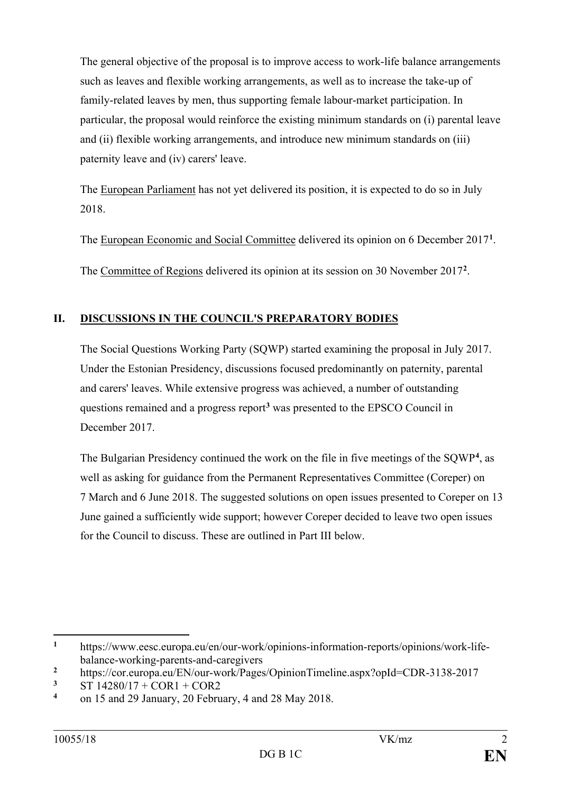The general objective of the proposal is to improve access to work-life balance arrangements such as leaves and flexible working arrangements, as well as to increase the take-up of family-related leaves by men, thus supporting female labour-market participation. In particular, the proposal would reinforce the existing minimum standards on (i) parental leave and (ii) flexible working arrangements, and introduce new minimum standards on (iii) paternity leave and (iv) carers' leave.

The European Parliament has not yet delivered its position, it is expected to do so in July 2018.

The European Economic and Social Committee delivered its opinion on 6 December 20[1](#page-1-0)7<sup>1</sup>.

The Committee of Regions delivered its opinion at its session on 30 November 2017**[2](#page-1-1)**.

# **II. DISCUSSIONS IN THE COUNCIL'S PREPARATORY BODIES**

The Social Questions Working Party (SQWP) started examining the proposal in July 2017. Under the Estonian Presidency, discussions focused predominantly on paternity, parental and carers' leaves. While extensive progress was achieved, a number of outstanding questions remained and a progress report**[3](#page-1-2)** was presented to the EPSCO Council in December 2017.

The Bulgarian Presidency continued the work on the file in five meetings of the SQWP**[4](#page-1-3)** , as well as asking for guidance from the Permanent Representatives Committee (Coreper) on 7 March and 6 June 2018. The suggested solutions on open issues presented to Coreper on 13 June gained a sufficiently wide support; however Coreper decided to leave two open issues for the Council to discuss. These are outlined in Part III below.

<span id="page-1-0"></span> $\mathbf{1}$ **<sup>1</sup>** https://www.eesc.europa.eu/en/our-work/opinions-information-reports/opinions/work-lifebalance-working-parents-and-caregivers

<span id="page-1-1"></span><sup>&</sup>lt;sup>2</sup> https://cor.europa.eu/EN/our-work/Pages/OpinionTimeline.aspx?opId=CDR-3138-2017<br><sup>3</sup> ST 14280/17 + COR1 + COR2

<span id="page-1-2"></span> $\frac{3}{4}$  ST 14280/17 + COR1 + COR2

<span id="page-1-3"></span>**<sup>4</sup>** on 15 and 29 January, 20 February, 4 and 28 May 2018.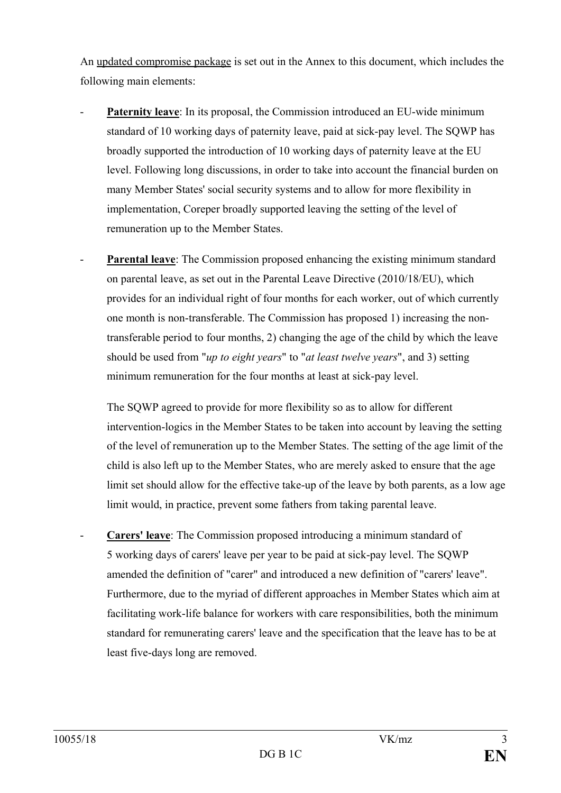An updated compromise package is set out in the Annex to this document, which includes the following main elements:

- Paternity leave: In its proposal, the Commission introduced an EU-wide minimum standard of 10 working days of paternity leave, paid at sick-pay level. The SQWP has broadly supported the introduction of 10 working days of paternity leave at the EU level. Following long discussions, in order to take into account the financial burden on many Member States' social security systems and to allow for more flexibility in implementation, Coreper broadly supported leaving the setting of the level of remuneration up to the Member States.
- **Parental leave**: The Commission proposed enhancing the existing minimum standard on parental leave, as set out in the Parental Leave Directive (2010/18/EU), which provides for an individual right of four months for each worker, out of which currently one month is non-transferable. The Commission has proposed 1) increasing the nontransferable period to four months, 2) changing the age of the child by which the leave should be used from "*up to eight years*" to "*at least twelve years*", and 3) setting minimum remuneration for the four months at least at sick-pay level.

The SQWP agreed to provide for more flexibility so as to allow for different intervention-logics in the Member States to be taken into account by leaving the setting of the level of remuneration up to the Member States. The setting of the age limit of the child is also left up to the Member States, who are merely asked to ensure that the age limit set should allow for the effective take-up of the leave by both parents, as a low age limit would, in practice, prevent some fathers from taking parental leave.

**Carers' leave**: The Commission proposed introducing a minimum standard of 5 working days of carers' leave per year to be paid at sick-pay level. The SQWP amended the definition of "carer" and introduced a new definition of "carers' leave". Furthermore, due to the myriad of different approaches in Member States which aim at facilitating work-life balance for workers with care responsibilities, both the minimum standard for remunerating carers' leave and the specification that the leave has to be at least five-days long are removed.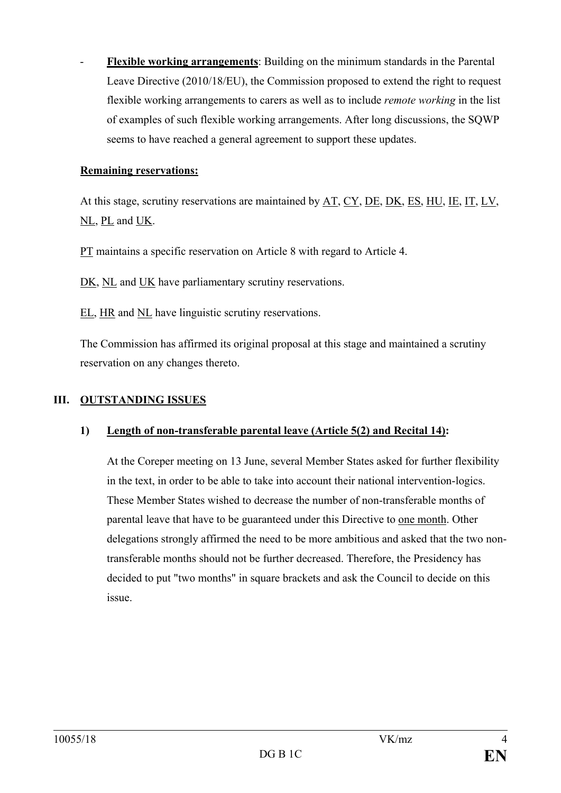- **Flexible working arrangements**: Building on the minimum standards in the Parental Leave Directive (2010/18/EU), the Commission proposed to extend the right to request flexible working arrangements to carers as well as to include *remote working* in the list of examples of such flexible working arrangements. After long discussions, the SQWP seems to have reached a general agreement to support these updates.

#### **Remaining reservations:**

At this stage, scrutiny reservations are maintained by AT, CY, DE, DK, ES, HU, IE, IT, LV, NL, PL and UK.

PT maintains a specific reservation on Article 8 with regard to Article 4.

DK, NL and UK have parliamentary scrutiny reservations.

EL, HR and NL have linguistic scrutiny reservations.

The Commission has affirmed its original proposal at this stage and maintained a scrutiny reservation on any changes thereto.

### **III. OUTSTANDING ISSUES**

### **1) Length of non-transferable parental leave (Article 5(2) and Recital 14):**

At the Coreper meeting on 13 June, several Member States asked for further flexibility in the text, in order to be able to take into account their national intervention-logics. These Member States wished to decrease the number of non-transferable months of parental leave that have to be guaranteed under this Directive to one month. Other delegations strongly affirmed the need to be more ambitious and asked that the two nontransferable months should not be further decreased. Therefore, the Presidency has decided to put "two months" in square brackets and ask the Council to decide on this issue.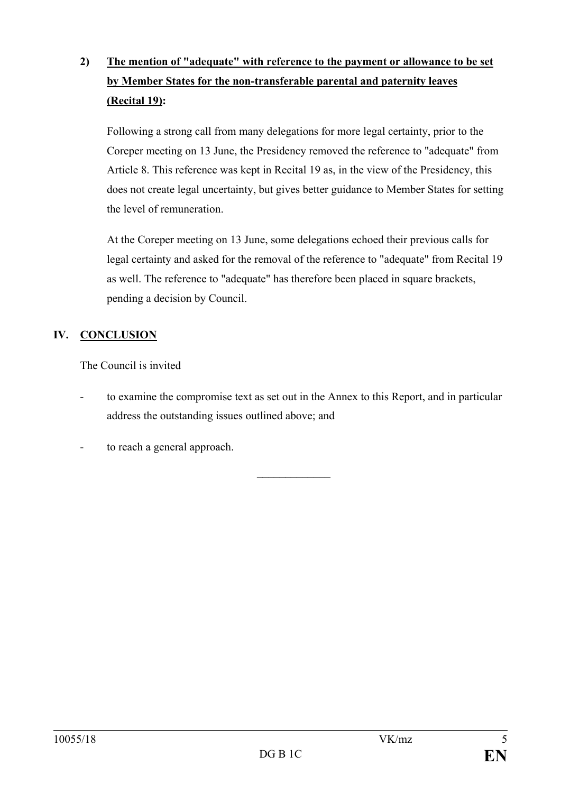# **2) The mention of "adequate" with reference to the payment or allowance to be set by Member States for the non-transferable parental and paternity leaves (Recital 19):**

Following a strong call from many delegations for more legal certainty, prior to the Coreper meeting on 13 June, the Presidency removed the reference to "adequate" from Article 8. This reference was kept in Recital 19 as, in the view of the Presidency, this does not create legal uncertainty, but gives better guidance to Member States for setting the level of remuneration.

At the Coreper meeting on 13 June, some delegations echoed their previous calls for legal certainty and asked for the removal of the reference to "adequate" from Recital 19 as well. The reference to "adequate" has therefore been placed in square brackets, pending a decision by Council.

# **IV. CONCLUSION**

The Council is invited

to examine the compromise text as set out in the Annex to this Report, and in particular address the outstanding issues outlined above; and

 $\frac{1}{2}$ 

to reach a general approach.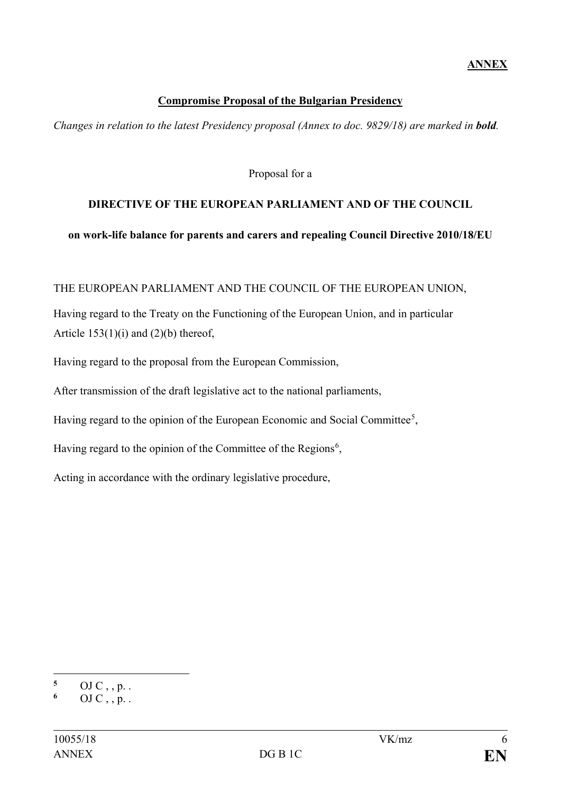#### **Compromise Proposal of the Bulgarian Presidency**

*Changes in relation to the latest Presidency proposal (Annex to doc. 9829/18) are marked in bold.*

Proposal for a

### **DIRECTIVE OF THE EUROPEAN PARLIAMENT AND OF THE COUNCIL**

#### **on work-life balance for parents and carers and repealing Council Directive 2010/18/EU**

#### THE EUROPEAN PARLIAMENT AND THE COUNCIL OF THE EUROPEAN UNION,

Having regard to the Treaty on the Functioning of the European Union, and in particular Article  $153(1)(i)$  and  $(2)(b)$  thereof,

Having regard to the proposal from the European Commission,

After transmission of the draft legislative act to the national parliaments,

Having regard to the opinion of the European Economic and Social Committee<sup>[5](#page-5-0)</sup>,

Having regard to the opinion of the Committee of the Regions<sup>[6](#page-5-1)</sup>,

Acting in accordance with the ordinary legislative procedure,

 $\overline{a}$ 

<span id="page-5-0"></span>**<sup>5</sup>** OJ C , , p. .

<span id="page-5-1"></span>**<sup>6</sup>** OJ C , , p. .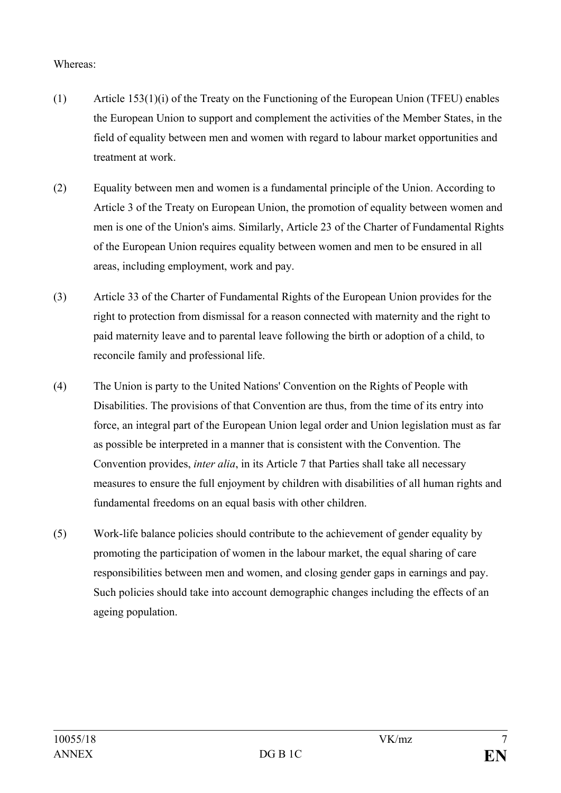### Whereas:

- (1) Article 153(1)(i) of the Treaty on the Functioning of the European Union (TFEU) enables the European Union to support and complement the activities of the Member States, in the field of equality between men and women with regard to labour market opportunities and treatment at work.
- (2) Equality between men and women is a fundamental principle of the Union. According to Article 3 of the Treaty on European Union, the promotion of equality between women and men is one of the Union's aims. Similarly, Article 23 of the Charter of Fundamental Rights of the European Union requires equality between women and men to be ensured in all areas, including employment, work and pay.
- (3) Article 33 of the Charter of Fundamental Rights of the European Union provides for the right to protection from dismissal for a reason connected with maternity and the right to paid maternity leave and to parental leave following the birth or adoption of a child, to reconcile family and professional life.
- (4) The Union is party to the United Nations' Convention on the Rights of People with Disabilities. The provisions of that Convention are thus, from the time of its entry into force, an integral part of the European Union legal order and Union legislation must as far as possible be interpreted in a manner that is consistent with the Convention. The Convention provides, *inter alia*, in its Article 7 that Parties shall take all necessary measures to ensure the full enjoyment by children with disabilities of all human rights and fundamental freedoms on an equal basis with other children.
- (5) Work-life balance policies should contribute to the achievement of gender equality by promoting the participation of women in the labour market, the equal sharing of care responsibilities between men and women, and closing gender gaps in earnings and pay. Such policies should take into account demographic changes including the effects of an ageing population.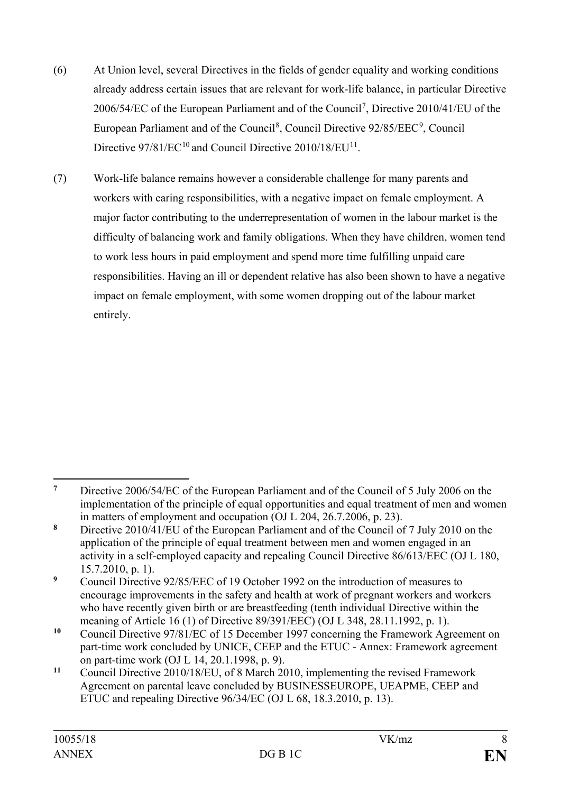- (6) At Union level, several Directives in the fields of gender equality and working conditions already address certain issues that are relevant for work-life balance, in particular Directive 2006/54/EC of the European Parliament and of the Council<sup>[7](#page-7-0)</sup>, Directive 2010/41/EU of the European Parliament and of the Council<sup>[8](#page-7-1)</sup>, Council Directive [9](#page-7-2)2/85/EEC<sup>9</sup>, Council Directive 97/81/EC<sup>[10](#page-7-3)</sup> and Council Directive 2010/18/EU<sup>11</sup>.
- (7) Work-life balance remains however a considerable challenge for many parents and workers with caring responsibilities, with a negative impact on female employment. A major factor contributing to the underrepresentation of women in the labour market is the difficulty of balancing work and family obligations. When they have children, women tend to work less hours in paid employment and spend more time fulfilling unpaid care responsibilities. Having an ill or dependent relative has also been shown to have a negative impact on female employment, with some women dropping out of the labour market entirely.

<span id="page-7-0"></span> $\overline{7}$ **<sup>7</sup>** Directive 2006/54/EC of the European Parliament and of the Council of 5 July 2006 on the implementation of the principle of equal opportunities and equal treatment of men and women in matters of employment and occupation (OJ L 204, 26.7.2006, p. 23).

<span id="page-7-1"></span>**<sup>8</sup>** Directive 2010/41/EU of the European Parliament and of the Council of 7 July 2010 on the application of the principle of equal treatment between men and women engaged in an activity in a self-employed capacity and repealing Council Directive 86/613/EEC (OJ L 180, 15.7.2010, p. 1).

<span id="page-7-2"></span><sup>&</sup>lt;sup>9</sup> Council Directive 92/85/EEC of 19 October 1992 on the introduction of measures to encourage improvements in the safety and health at work of pregnant workers and workers who have recently given birth or are breastfeeding (tenth individual Directive within the meaning of Article 16 (1) of Directive 89/391/EEC) (OJ L 348, 28.11.1992, p. 1).

<span id="page-7-3"></span>**<sup>10</sup>** Council Directive 97/81/EC of 15 December 1997 concerning the Framework Agreement on part-time work concluded by UNICE, CEEP and the ETUC - Annex: Framework agreement on part-time work (OJ L 14, 20.1.1998, p. 9).

<span id="page-7-4"></span>**<sup>11</sup>** Council Directive 2010/18/EU, of 8 March 2010, implementing the revised Framework Agreement on parental leave concluded by BUSINESSEUROPE, UEAPME, CEEP and ETUC and repealing Directive 96/34/EC (OJ L 68, 18.3.2010, p. 13).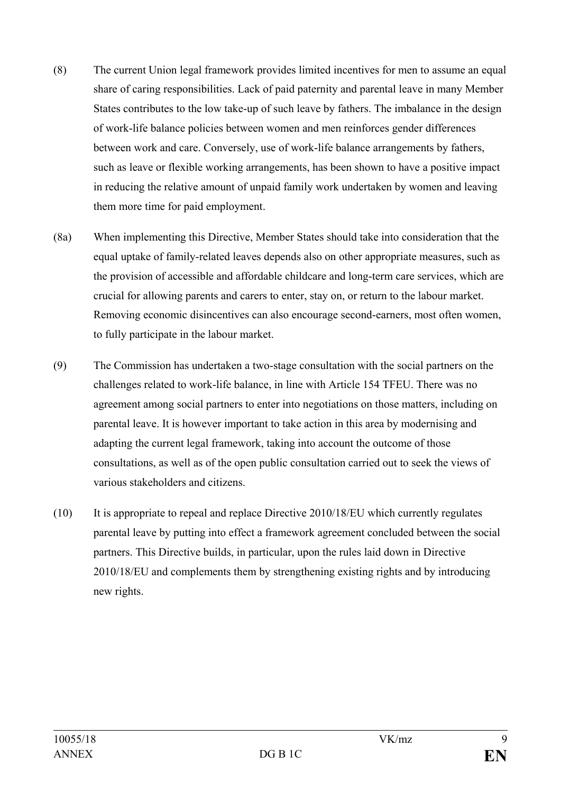- (8) The current Union legal framework provides limited incentives for men to assume an equal share of caring responsibilities. Lack of paid paternity and parental leave in many Member States contributes to the low take-up of such leave by fathers. The imbalance in the design of work-life balance policies between women and men reinforces gender differences between work and care. Conversely, use of work-life balance arrangements by fathers, such as leave or flexible working arrangements, has been shown to have a positive impact in reducing the relative amount of unpaid family work undertaken by women and leaving them more time for paid employment.
- (8a) When implementing this Directive, Member States should take into consideration that the equal uptake of family-related leaves depends also on other appropriate measures, such as the provision of accessible and affordable childcare and long-term care services, which are crucial for allowing parents and carers to enter, stay on, or return to the labour market. Removing economic disincentives can also encourage second-earners, most often women, to fully participate in the labour market.
- (9) The Commission has undertaken a two-stage consultation with the social partners on the challenges related to work-life balance, in line with Article 154 TFEU. There was no agreement among social partners to enter into negotiations on those matters, including on parental leave. It is however important to take action in this area by modernising and adapting the current legal framework, taking into account the outcome of those consultations, as well as of the open public consultation carried out to seek the views of various stakeholders and citizens.
- (10) It is appropriate to repeal and replace Directive 2010/18/EU which currently regulates parental leave by putting into effect a framework agreement concluded between the social partners. This Directive builds, in particular, upon the rules laid down in Directive 2010/18/EU and complements them by strengthening existing rights and by introducing new rights.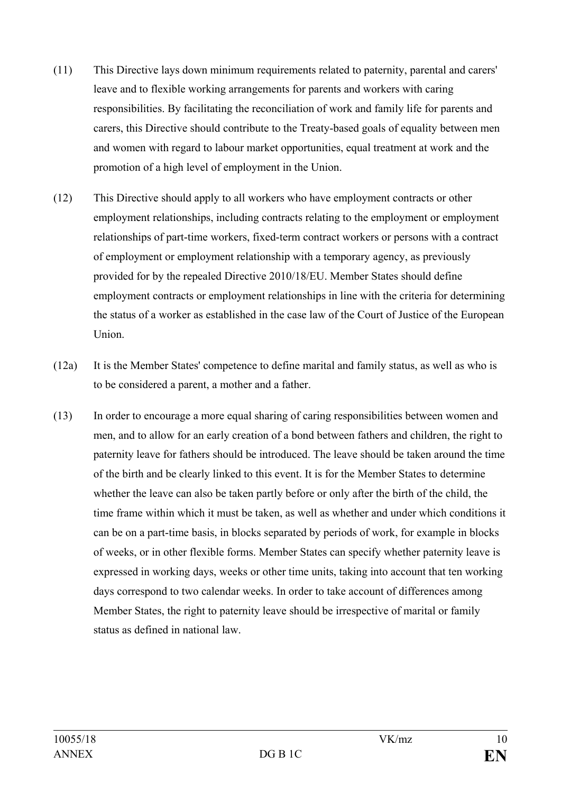- (11) This Directive lays down minimum requirements related to paternity, parental and carers' leave and to flexible working arrangements for parents and workers with caring responsibilities. By facilitating the reconciliation of work and family life for parents and carers, this Directive should contribute to the Treaty-based goals of equality between men and women with regard to labour market opportunities, equal treatment at work and the promotion of a high level of employment in the Union.
- (12) This Directive should apply to all workers who have employment contracts or other employment relationships, including contracts relating to the employment or employment relationships of part-time workers, fixed-term contract workers or persons with a contract of employment or employment relationship with a temporary agency, as previously provided for by the repealed Directive 2010/18/EU. Member States should define employment contracts or employment relationships in line with the criteria for determining the status of a worker as established in the case law of the Court of Justice of the European Union.
- (12a) It is the Member States' competence to define marital and family status, as well as who is to be considered a parent, a mother and a father.
- (13) In order to encourage a more equal sharing of caring responsibilities between women and men, and to allow for an early creation of a bond between fathers and children, the right to paternity leave for fathers should be introduced. The leave should be taken around the time of the birth and be clearly linked to this event. It is for the Member States to determine whether the leave can also be taken partly before or only after the birth of the child, the time frame within which it must be taken, as well as whether and under which conditions it can be on a part-time basis, in blocks separated by periods of work, for example in blocks of weeks, or in other flexible forms. Member States can specify whether paternity leave is expressed in working days, weeks or other time units, taking into account that ten working days correspond to two calendar weeks. In order to take account of differences among Member States, the right to paternity leave should be irrespective of marital or family status as defined in national law.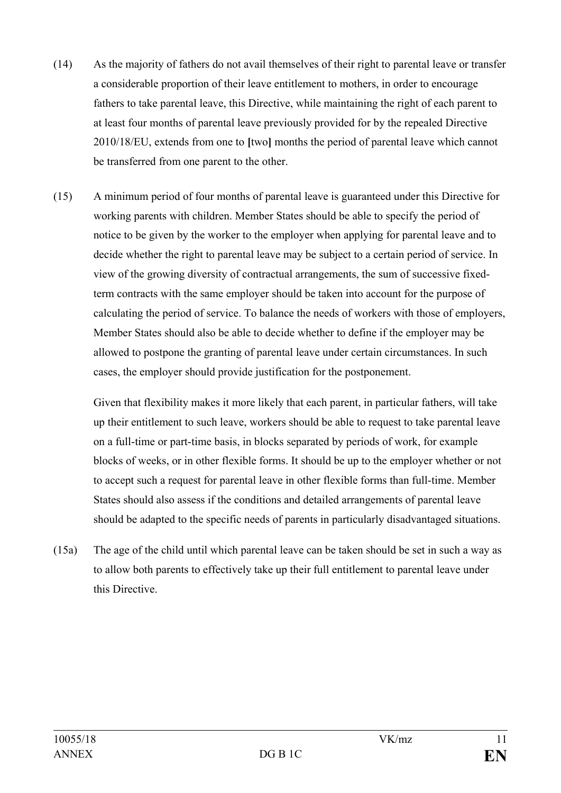- (14) As the majority of fathers do not avail themselves of their right to parental leave or transfer a considerable proportion of their leave entitlement to mothers, in order to encourage fathers to take parental leave, this Directive, while maintaining the right of each parent to at least four months of parental leave previously provided for by the repealed Directive 2010/18/EU, extends from one to **[**two**]** months the period of parental leave which cannot be transferred from one parent to the other.
- (15) A minimum period of four months of parental leave is guaranteed under this Directive for working parents with children. Member States should be able to specify the period of notice to be given by the worker to the employer when applying for parental leave and to decide whether the right to parental leave may be subject to a certain period of service. In view of the growing diversity of contractual arrangements, the sum of successive fixedterm contracts with the same employer should be taken into account for the purpose of calculating the period of service. To balance the needs of workers with those of employers, Member States should also be able to decide whether to define if the employer may be allowed to postpone the granting of parental leave under certain circumstances. In such cases, the employer should provide justification for the postponement.

Given that flexibility makes it more likely that each parent, in particular fathers, will take up their entitlement to such leave, workers should be able to request to take parental leave on a full-time or part-time basis, in blocks separated by periods of work, for example blocks of weeks, or in other flexible forms. It should be up to the employer whether or not to accept such a request for parental leave in other flexible forms than full-time. Member States should also assess if the conditions and detailed arrangements of parental leave should be adapted to the specific needs of parents in particularly disadvantaged situations.

(15a) The age of the child until which parental leave can be taken should be set in such a way as to allow both parents to effectively take up their full entitlement to parental leave under this Directive.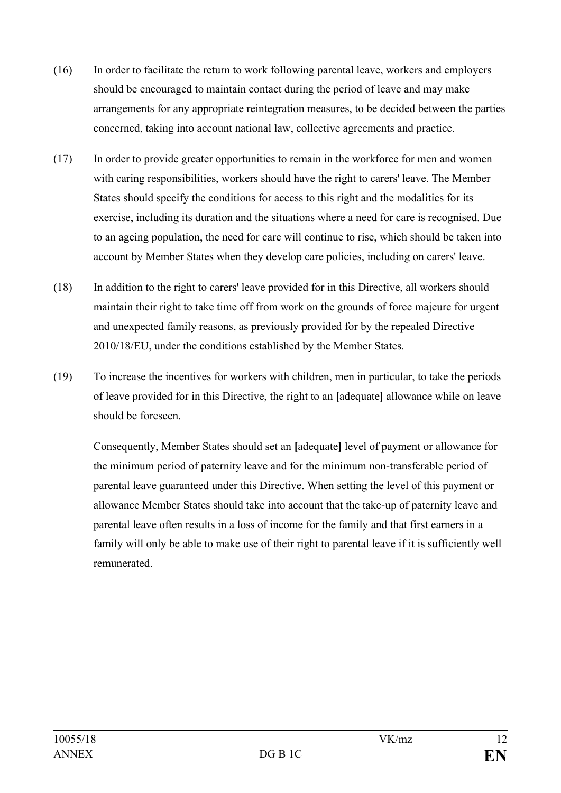- (16) In order to facilitate the return to work following parental leave, workers and employers should be encouraged to maintain contact during the period of leave and may make arrangements for any appropriate reintegration measures, to be decided between the parties concerned, taking into account national law, collective agreements and practice.
- (17) In order to provide greater opportunities to remain in the workforce for men and women with caring responsibilities, workers should have the right to carers' leave. The Member States should specify the conditions for access to this right and the modalities for its exercise, including its duration and the situations where a need for care is recognised. Due to an ageing population, the need for care will continue to rise, which should be taken into account by Member States when they develop care policies, including on carers' leave.
- (18) In addition to the right to carers' leave provided for in this Directive, all workers should maintain their right to take time off from work on the grounds of force majeure for urgent and unexpected family reasons, as previously provided for by the repealed Directive 2010/18/EU, under the conditions established by the Member States.
- (19) To increase the incentives for workers with children, men in particular, to take the periods of leave provided for in this Directive, the right to an **[**adequate**]** allowance while on leave should be foreseen.

Consequently, Member States should set an **[**adequate**]** level of payment or allowance for the minimum period of paternity leave and for the minimum non-transferable period of parental leave guaranteed under this Directive. When setting the level of this payment or allowance Member States should take into account that the take-up of paternity leave and parental leave often results in a loss of income for the family and that first earners in a family will only be able to make use of their right to parental leave if it is sufficiently well remunerated.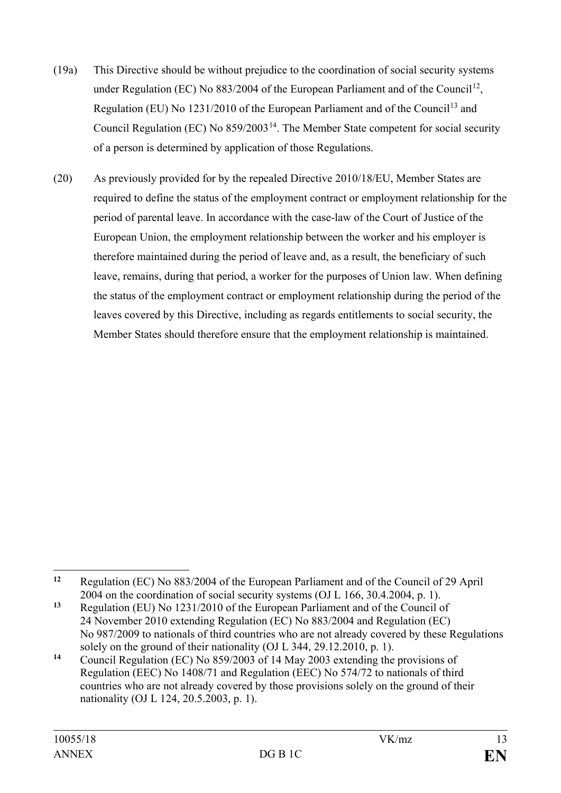- (19a) This Directive should be without prejudice to the coordination of social security systems under Regulation (EC) No  $883/2004$  of the European Parliament and of the Council<sup>12</sup>, Regulation (EU) No 1231/2010 of the European Parliament and of the Council<sup>[13](#page-12-1)</sup> and Council Regulation (EC) No  $859/2003^{14}$ . The Member State competent for social security of a person is determined by application of those Regulations.
- (20) As previously provided for by the repealed Directive 2010/18/EU, Member States are required to define the status of the employment contract or employment relationship for the period of parental leave. In accordance with the case-law of the Court of Justice of the European Union, the employment relationship between the worker and his employer is therefore maintained during the period of leave and, as a result, the beneficiary of such leave, remains, during that period, a worker for the purposes of Union law. When defining the status of the employment contract or employment relationship during the period of the leaves covered by this Directive, including as regards entitlements to social security, the Member States should therefore ensure that the employment relationship is maintained.

<span id="page-12-0"></span> $12$ **<sup>12</sup>** Regulation (EC) No 883/2004 of the European Parliament and of the Council of 29 April 2004 on the coordination of social security systems (OJ L 166, 30.4.2004, p. 1).

<span id="page-12-1"></span>**<sup>13</sup>** Regulation (EU) No 1231/2010 of the European Parliament and of the Council of 24 November 2010 extending Regulation (EC) No 883/2004 and Regulation (EC) No 987/2009 to nationals of third countries who are not already covered by these Regulations solely on the ground of their nationality (OJ L 344, 29.12.2010, p. 1).

<span id="page-12-2"></span>**<sup>14</sup>** Council Regulation (EC) No 859/2003 of 14 May 2003 extending the provisions of Regulation (EEC) No 1408/71 and Regulation (EEC) No 574/72 to nationals of third countries who are not already covered by those provisions solely on the ground of their nationality (OJ L 124, 20.5.2003, p. 1).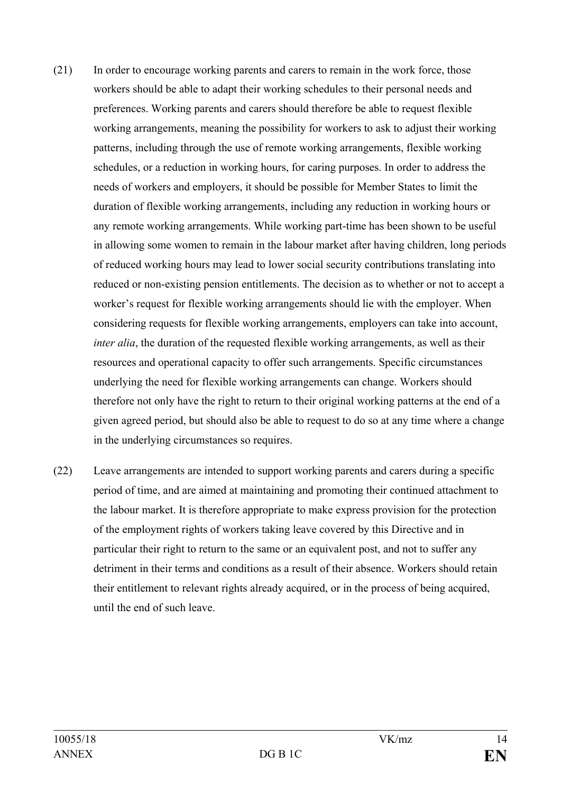- (21) In order to encourage working parents and carers to remain in the work force, those workers should be able to adapt their working schedules to their personal needs and preferences. Working parents and carers should therefore be able to request flexible working arrangements, meaning the possibility for workers to ask to adjust their working patterns, including through the use of remote working arrangements, flexible working schedules, or a reduction in working hours, for caring purposes. In order to address the needs of workers and employers, it should be possible for Member States to limit the duration of flexible working arrangements, including any reduction in working hours or any remote working arrangements. While working part-time has been shown to be useful in allowing some women to remain in the labour market after having children, long periods of reduced working hours may lead to lower social security contributions translating into reduced or non-existing pension entitlements. The decision as to whether or not to accept a worker's request for flexible working arrangements should lie with the employer. When considering requests for flexible working arrangements, employers can take into account, *inter alia*, the duration of the requested flexible working arrangements, as well as their resources and operational capacity to offer such arrangements. Specific circumstances underlying the need for flexible working arrangements can change. Workers should therefore not only have the right to return to their original working patterns at the end of a given agreed period, but should also be able to request to do so at any time where a change in the underlying circumstances so requires.
- (22) Leave arrangements are intended to support working parents and carers during a specific period of time, and are aimed at maintaining and promoting their continued attachment to the labour market. It is therefore appropriate to make express provision for the protection of the employment rights of workers taking leave covered by this Directive and in particular their right to return to the same or an equivalent post, and not to suffer any detriment in their terms and conditions as a result of their absence. Workers should retain their entitlement to relevant rights already acquired, or in the process of being acquired, until the end of such leave.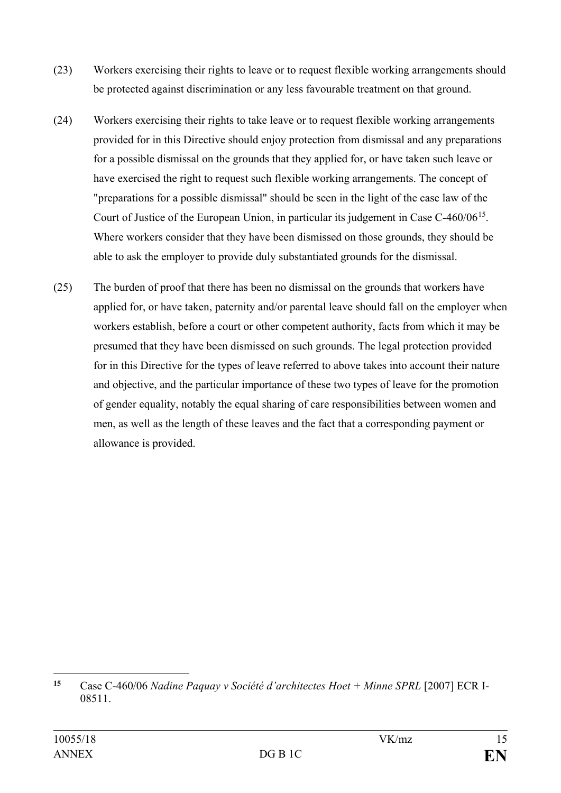- (23) Workers exercising their rights to leave or to request flexible working arrangements should be protected against discrimination or any less favourable treatment on that ground.
- (24) Workers exercising their rights to take leave or to request flexible working arrangements provided for in this Directive should enjoy protection from dismissal and any preparations for a possible dismissal on the grounds that they applied for, or have taken such leave or have exercised the right to request such flexible working arrangements. The concept of "preparations for a possible dismissal" should be seen in the light of the case law of the Court of Justice of the European Union, in particular its judgement in Case C-460/06[15.](#page-14-0) Where workers consider that they have been dismissed on those grounds, they should be able to ask the employer to provide duly substantiated grounds for the dismissal.
- (25) The burden of proof that there has been no dismissal on the grounds that workers have applied for, or have taken, paternity and/or parental leave should fall on the employer when workers establish, before a court or other competent authority, facts from which it may be presumed that they have been dismissed on such grounds. The legal protection provided for in this Directive for the types of leave referred to above takes into account their nature and objective, and the particular importance of these two types of leave for the promotion of gender equality, notably the equal sharing of care responsibilities between women and men, as well as the length of these leaves and the fact that a corresponding payment or allowance is provided.

<span id="page-14-0"></span> $15$ **<sup>15</sup>** Case C-460/06 *Nadine Paquay v Société d'architectes Hoet + Minne SPRL* [2007] ECR I-08511.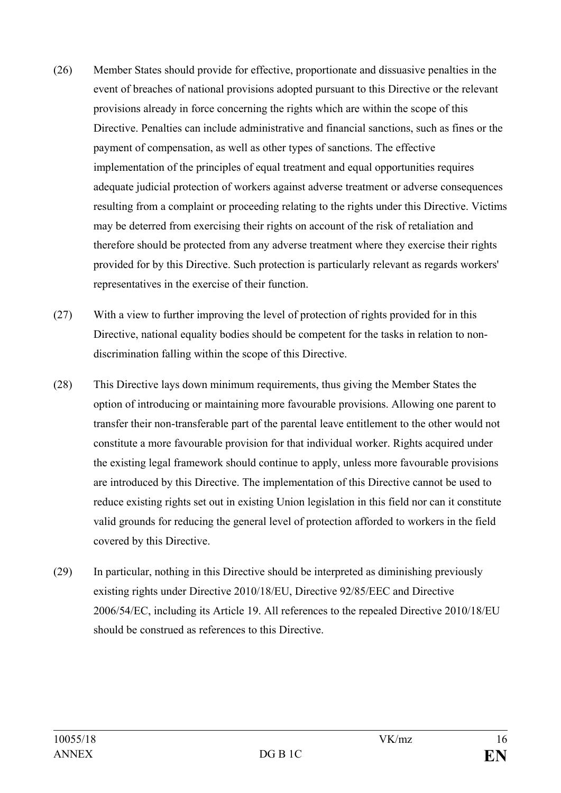- (26) Member States should provide for effective, proportionate and dissuasive penalties in the event of breaches of national provisions adopted pursuant to this Directive or the relevant provisions already in force concerning the rights which are within the scope of this Directive. Penalties can include administrative and financial sanctions, such as fines or the payment of compensation, as well as other types of sanctions. The effective implementation of the principles of equal treatment and equal opportunities requires adequate judicial protection of workers against adverse treatment or adverse consequences resulting from a complaint or proceeding relating to the rights under this Directive. Victims may be deterred from exercising their rights on account of the risk of retaliation and therefore should be protected from any adverse treatment where they exercise their rights provided for by this Directive. Such protection is particularly relevant as regards workers' representatives in the exercise of their function.
- (27) With a view to further improving the level of protection of rights provided for in this Directive, national equality bodies should be competent for the tasks in relation to nondiscrimination falling within the scope of this Directive.
- (28) This Directive lays down minimum requirements, thus giving the Member States the option of introducing or maintaining more favourable provisions. Allowing one parent to transfer their non-transferable part of the parental leave entitlement to the other would not constitute a more favourable provision for that individual worker. Rights acquired under the existing legal framework should continue to apply, unless more favourable provisions are introduced by this Directive. The implementation of this Directive cannot be used to reduce existing rights set out in existing Union legislation in this field nor can it constitute valid grounds for reducing the general level of protection afforded to workers in the field covered by this Directive.
- (29) In particular, nothing in this Directive should be interpreted as diminishing previously existing rights under Directive 2010/18/EU, Directive 92/85/EEC and Directive 2006/54/EC, including its Article 19. All references to the repealed Directive 2010/18/EU should be construed as references to this Directive.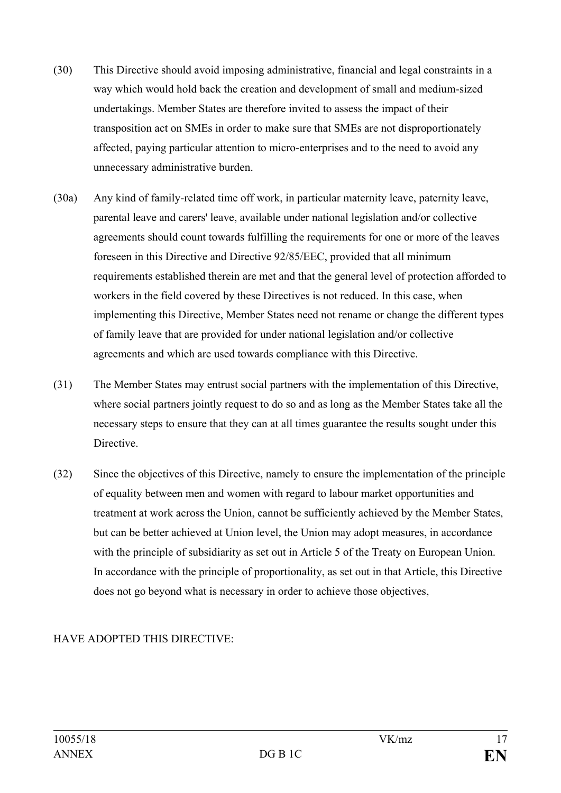- (30) This Directive should avoid imposing administrative, financial and legal constraints in a way which would hold back the creation and development of small and medium-sized undertakings. Member States are therefore invited to assess the impact of their transposition act on SMEs in order to make sure that SMEs are not disproportionately affected, paying particular attention to micro-enterprises and to the need to avoid any unnecessary administrative burden.
- (30a) Any kind of family-related time off work, in particular maternity leave, paternity leave, parental leave and carers' leave, available under national legislation and/or collective agreements should count towards fulfilling the requirements for one or more of the leaves foreseen in this Directive and Directive 92/85/EEC, provided that all minimum requirements established therein are met and that the general level of protection afforded to workers in the field covered by these Directives is not reduced. In this case, when implementing this Directive, Member States need not rename or change the different types of family leave that are provided for under national legislation and/or collective agreements and which are used towards compliance with this Directive.
- (31) The Member States may entrust social partners with the implementation of this Directive, where social partners jointly request to do so and as long as the Member States take all the necessary steps to ensure that they can at all times guarantee the results sought under this Directive.
- (32) Since the objectives of this Directive, namely to ensure the implementation of the principle of equality between men and women with regard to labour market opportunities and treatment at work across the Union, cannot be sufficiently achieved by the Member States, but can be better achieved at Union level, the Union may adopt measures, in accordance with the principle of subsidiarity as set out in Article 5 of the Treaty on European Union. In accordance with the principle of proportionality, as set out in that Article, this Directive does not go beyond what is necessary in order to achieve those objectives,

### HAVE ADOPTED THIS DIRECTIVE: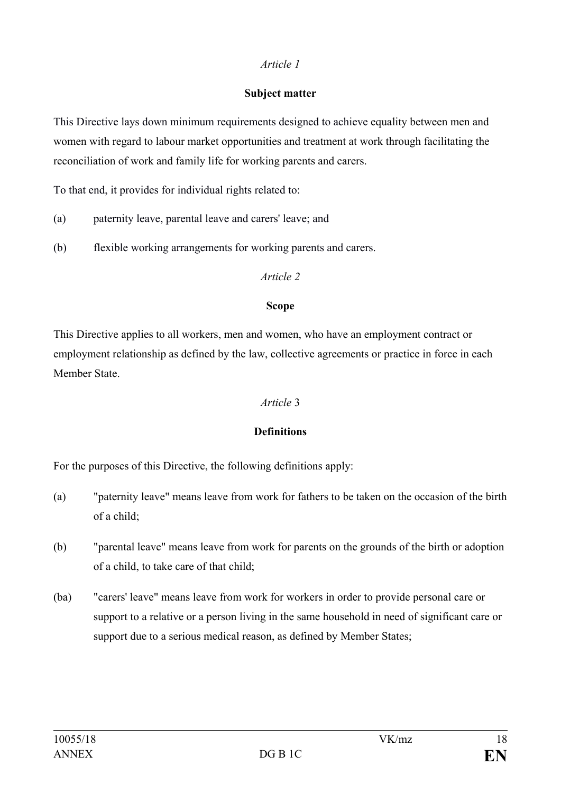### **Subject matter**

This Directive lays down minimum requirements designed to achieve equality between men and women with regard to labour market opportunities and treatment at work through facilitating the reconciliation of work and family life for working parents and carers.

To that end, it provides for individual rights related to:

- (a) paternity leave, parental leave and carers' leave; and
- (b) flexible working arrangements for working parents and carers.

#### *Article 2*

#### **Scope**

This Directive applies to all workers, men and women, who have an employment contract or employment relationship as defined by the law, collective agreements or practice in force in each Member State.

### *Article* 3

### **Definitions**

For the purposes of this Directive, the following definitions apply:

- (a) "paternity leave" means leave from work for fathers to be taken on the occasion of the birth of a child;
- (b) "parental leave" means leave from work for parents on the grounds of the birth or adoption of a child, to take care of that child;
- (ba) "carers' leave" means leave from work for workers in order to provide personal care or support to a relative or a person living in the same household in need of significant care or support due to a serious medical reason, as defined by Member States;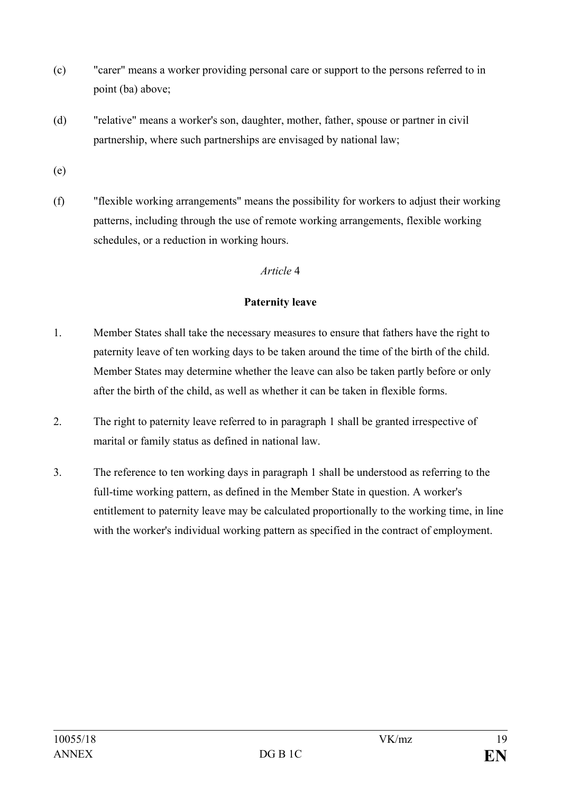- (c) "carer" means a worker providing personal care or support to the persons referred to in point (ba) above;
- (d) "relative" means a worker's son, daughter, mother, father, spouse or partner in civil partnership, where such partnerships are envisaged by national law;
- (e)
- (f) "flexible working arrangements" means the possibility for workers to adjust their working patterns, including through the use of remote working arrangements, flexible working schedules, or a reduction in working hours.

### **Paternity leave**

- 1. Member States shall take the necessary measures to ensure that fathers have the right to paternity leave of ten working days to be taken around the time of the birth of the child. Member States may determine whether the leave can also be taken partly before or only after the birth of the child, as well as whether it can be taken in flexible forms.
- 2. The right to paternity leave referred to in paragraph 1 shall be granted irrespective of marital or family status as defined in national law.
- 3. The reference to ten working days in paragraph 1 shall be understood as referring to the full-time working pattern, as defined in the Member State in question. A worker's entitlement to paternity leave may be calculated proportionally to the working time, in line with the worker's individual working pattern as specified in the contract of employment.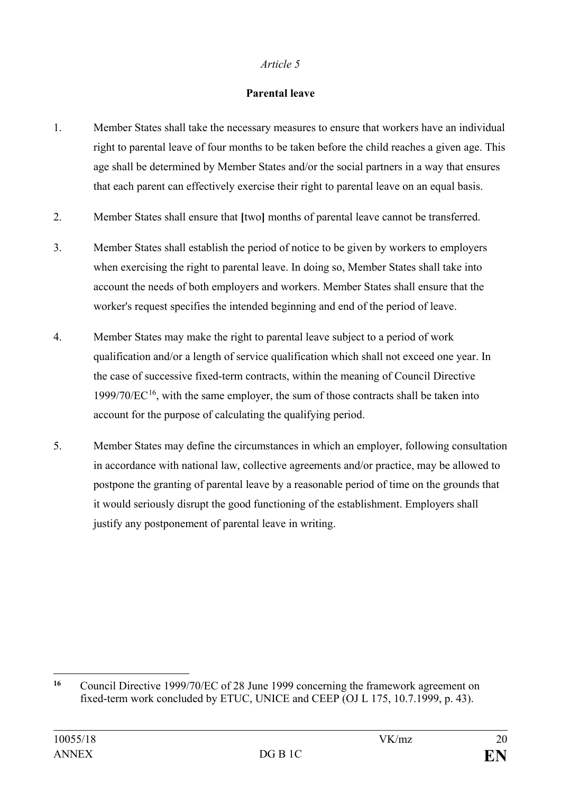### **Parental leave**

- 1. Member States shall take the necessary measures to ensure that workers have an individual right to parental leave of four months to be taken before the child reaches a given age. This age shall be determined by Member States and/or the social partners in a way that ensures that each parent can effectively exercise their right to parental leave on an equal basis.
- 2. Member States shall ensure that **[**two**]** months of parental leave cannot be transferred.
- 3. Member States shall establish the period of notice to be given by workers to employers when exercising the right to parental leave. In doing so, Member States shall take into account the needs of both employers and workers. Member States shall ensure that the worker's request specifies the intended beginning and end of the period of leave.
- 4. Member States may make the right to parental leave subject to a period of work qualification and/or a length of service qualification which shall not exceed one year. In the case of successive fixed-term contracts, within the meaning of Council Directive  $1999/70/EC^{16}$ , with the same employer, the sum of those contracts shall be taken into account for the purpose of calculating the qualifying period.
- 5. Member States may define the circumstances in which an employer, following consultation in accordance with national law, collective agreements and/or practice, may be allowed to postpone the granting of parental leave by a reasonable period of time on the grounds that it would seriously disrupt the good functioning of the establishment. Employers shall justify any postponement of parental leave in writing.

<span id="page-19-0"></span> $16$ **<sup>16</sup>** Council Directive 1999/70/EC of 28 June 1999 concerning the framework agreement on fixed-term work concluded by ETUC, UNICE and CEEP (OJ L 175, 10.7.1999, p. 43).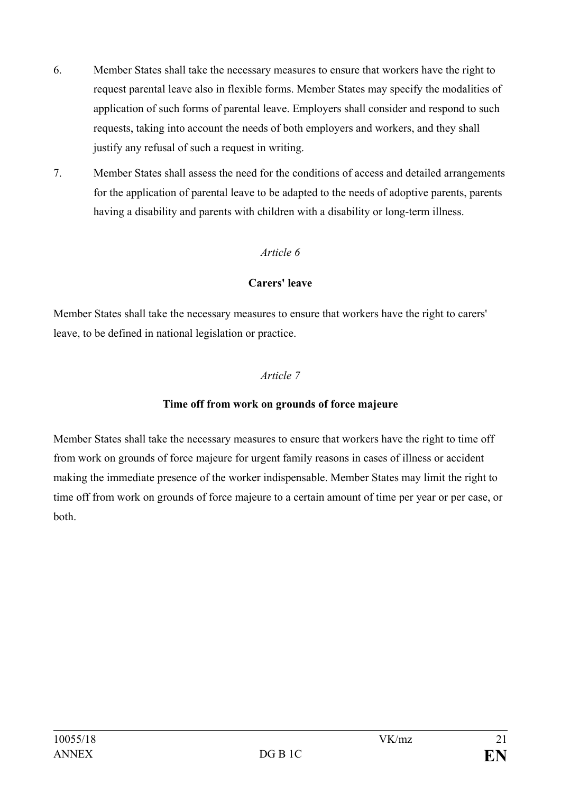- 6. Member States shall take the necessary measures to ensure that workers have the right to request parental leave also in flexible forms. Member States may specify the modalities of application of such forms of parental leave. Employers shall consider and respond to such requests, taking into account the needs of both employers and workers, and they shall justify any refusal of such a request in writing.
- 7. Member States shall assess the need for the conditions of access and detailed arrangements for the application of parental leave to be adapted to the needs of adoptive parents, parents having a disability and parents with children with a disability or long-term illness.

### **Carers' leave**

Member States shall take the necessary measures to ensure that workers have the right to carers' leave, to be defined in national legislation or practice.

#### *Article 7*

#### **Time off from work on grounds of force majeure**

Member States shall take the necessary measures to ensure that workers have the right to time off from work on grounds of force majeure for urgent family reasons in cases of illness or accident making the immediate presence of the worker indispensable. Member States may limit the right to time off from work on grounds of force majeure to a certain amount of time per year or per case, or both.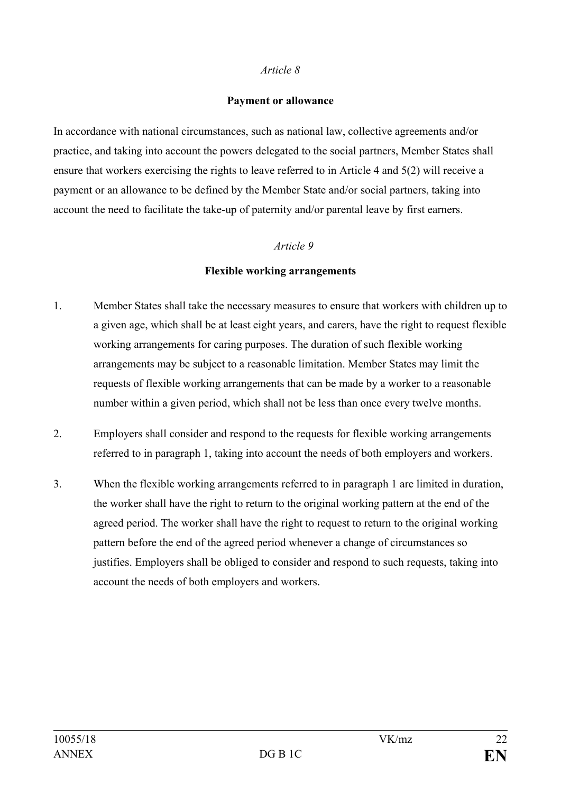#### **Payment or allowance**

In accordance with national circumstances, such as national law, collective agreements and/or practice, and taking into account the powers delegated to the social partners, Member States shall ensure that workers exercising the rights to leave referred to in Article 4 and 5(2) will receive a payment or an allowance to be defined by the Member State and/or social partners, taking into account the need to facilitate the take-up of paternity and/or parental leave by first earners.

#### *Article 9*

#### **Flexible working arrangements**

- 1. Member States shall take the necessary measures to ensure that workers with children up to a given age, which shall be at least eight years, and carers, have the right to request flexible working arrangements for caring purposes. The duration of such flexible working arrangements may be subject to a reasonable limitation. Member States may limit the requests of flexible working arrangements that can be made by a worker to a reasonable number within a given period, which shall not be less than once every twelve months.
- 2. Employers shall consider and respond to the requests for flexible working arrangements referred to in paragraph 1, taking into account the needs of both employers and workers.
- 3. When the flexible working arrangements referred to in paragraph 1 are limited in duration, the worker shall have the right to return to the original working pattern at the end of the agreed period. The worker shall have the right to request to return to the original working pattern before the end of the agreed period whenever a change of circumstances so justifies. Employers shall be obliged to consider and respond to such requests, taking into account the needs of both employers and workers.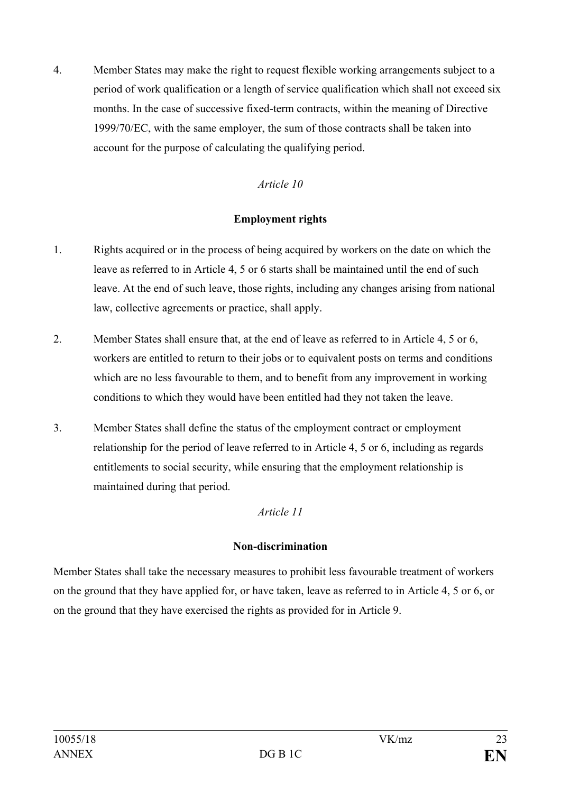4. Member States may make the right to request flexible working arrangements subject to a period of work qualification or a length of service qualification which shall not exceed six months. In the case of successive fixed-term contracts, within the meaning of Directive 1999/70/EC, with the same employer, the sum of those contracts shall be taken into account for the purpose of calculating the qualifying period.

### *Article 10*

#### **Employment rights**

- 1. Rights acquired or in the process of being acquired by workers on the date on which the leave as referred to in Article 4, 5 or 6 starts shall be maintained until the end of such leave. At the end of such leave, those rights, including any changes arising from national law, collective agreements or practice, shall apply.
- 2. Member States shall ensure that, at the end of leave as referred to in Article 4, 5 or 6, workers are entitled to return to their jobs or to equivalent posts on terms and conditions which are no less favourable to them, and to benefit from any improvement in working conditions to which they would have been entitled had they not taken the leave.
- 3. Member States shall define the status of the employment contract or employment relationship for the period of leave referred to in Article 4, 5 or 6, including as regards entitlements to social security, while ensuring that the employment relationship is maintained during that period.

### *Article 11*

### **Non-discrimination**

Member States shall take the necessary measures to prohibit less favourable treatment of workers on the ground that they have applied for, or have taken, leave as referred to in Article 4, 5 or 6, or on the ground that they have exercised the rights as provided for in Article 9.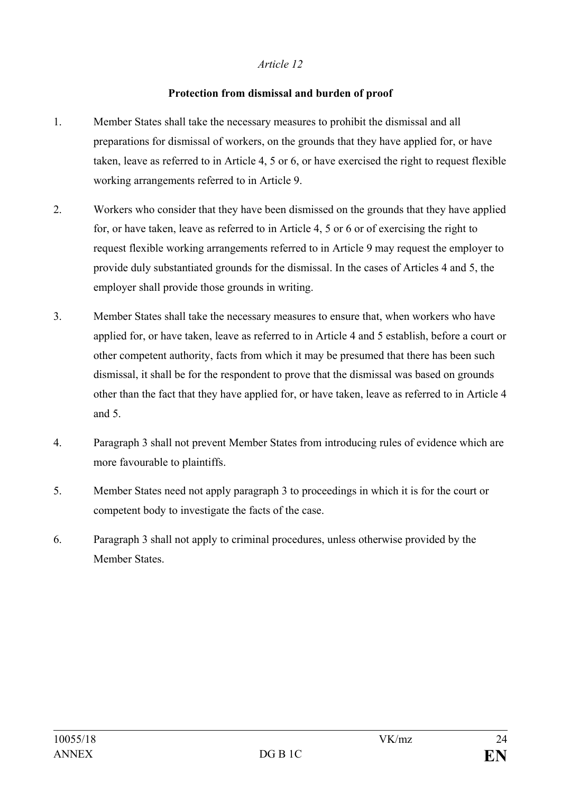#### **Protection from dismissal and burden of proof**

- 1. Member States shall take the necessary measures to prohibit the dismissal and all preparations for dismissal of workers, on the grounds that they have applied for, or have taken, leave as referred to in Article 4, 5 or 6, or have exercised the right to request flexible working arrangements referred to in Article 9.
- 2. Workers who consider that they have been dismissed on the grounds that they have applied for, or have taken, leave as referred to in Article 4, 5 or 6 or of exercising the right to request flexible working arrangements referred to in Article 9 may request the employer to provide duly substantiated grounds for the dismissal. In the cases of Articles 4 and 5, the employer shall provide those grounds in writing.
- 3. Member States shall take the necessary measures to ensure that, when workers who have applied for, or have taken, leave as referred to in Article 4 and 5 establish, before a court or other competent authority, facts from which it may be presumed that there has been such dismissal, it shall be for the respondent to prove that the dismissal was based on grounds other than the fact that they have applied for, or have taken, leave as referred to in Article 4 and 5.
- 4. Paragraph 3 shall not prevent Member States from introducing rules of evidence which are more favourable to plaintiffs.
- 5. Member States need not apply paragraph 3 to proceedings in which it is for the court or competent body to investigate the facts of the case.
- 6. Paragraph 3 shall not apply to criminal procedures, unless otherwise provided by the Member States.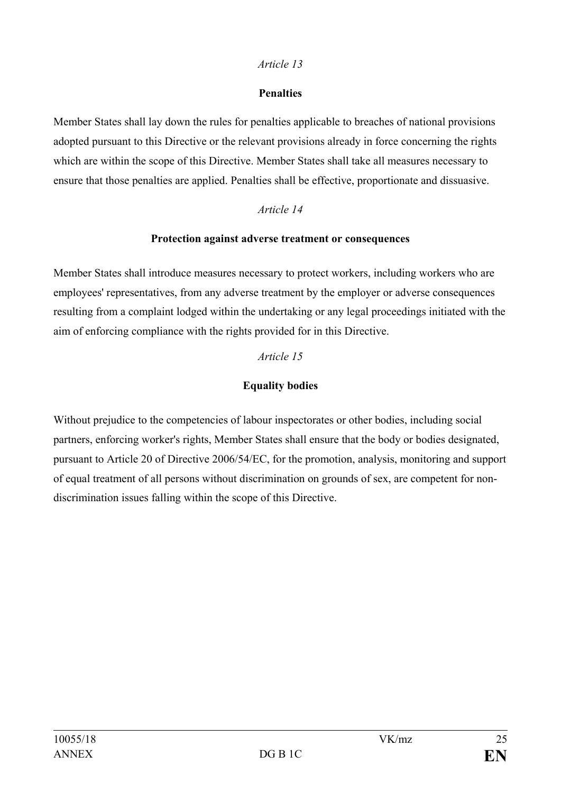### **Penalties**

Member States shall lay down the rules for penalties applicable to breaches of national provisions adopted pursuant to this Directive or the relevant provisions already in force concerning the rights which are within the scope of this Directive. Member States shall take all measures necessary to ensure that those penalties are applied. Penalties shall be effective, proportionate and dissuasive.

### *Article 14*

### **Protection against adverse treatment or consequences**

Member States shall introduce measures necessary to protect workers, including workers who are employees' representatives, from any adverse treatment by the employer or adverse consequences resulting from a complaint lodged within the undertaking or any legal proceedings initiated with the aim of enforcing compliance with the rights provided for in this Directive.

### *Article 15*

# **Equality bodies**

Without prejudice to the competencies of labour inspectorates or other bodies, including social partners, enforcing worker's rights, Member States shall ensure that the body or bodies designated, pursuant to Article 20 of Directive 2006/54/EC, for the promotion, analysis, monitoring and support of equal treatment of all persons without discrimination on grounds of sex, are competent for nondiscrimination issues falling within the scope of this Directive.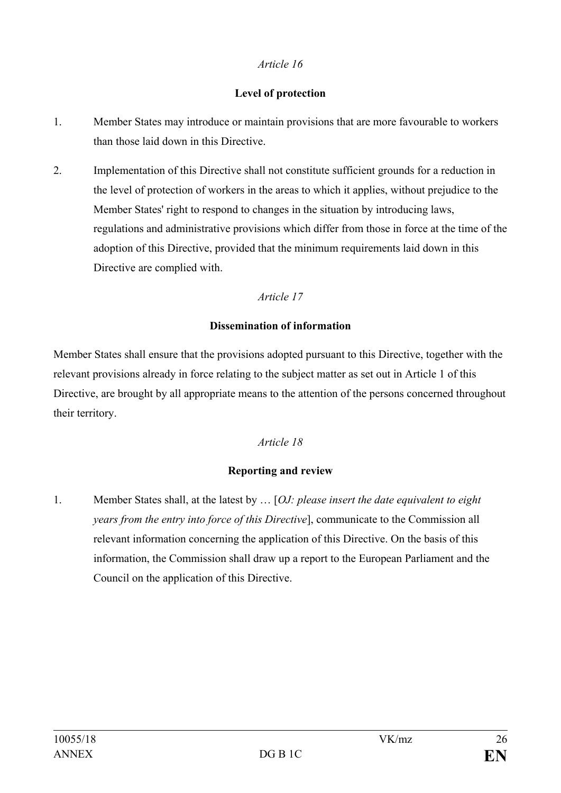### **Level of protection**

- 1. Member States may introduce or maintain provisions that are more favourable to workers than those laid down in this Directive.
- 2. Implementation of this Directive shall not constitute sufficient grounds for a reduction in the level of protection of workers in the areas to which it applies, without prejudice to the Member States' right to respond to changes in the situation by introducing laws, regulations and administrative provisions which differ from those in force at the time of the adoption of this Directive, provided that the minimum requirements laid down in this Directive are complied with.

### *Article 17*

### **Dissemination of information**

Member States shall ensure that the provisions adopted pursuant to this Directive, together with the relevant provisions already in force relating to the subject matter as set out in Article 1 of this Directive, are brought by all appropriate means to the attention of the persons concerned throughout their territory.

### *Article 18*

### **Reporting and review**

1. Member States shall, at the latest by … [*OJ: please insert the date equivalent to eight years from the entry into force of this Directive*], communicate to the Commission all relevant information concerning the application of this Directive. On the basis of this information, the Commission shall draw up a report to the European Parliament and the Council on the application of this Directive.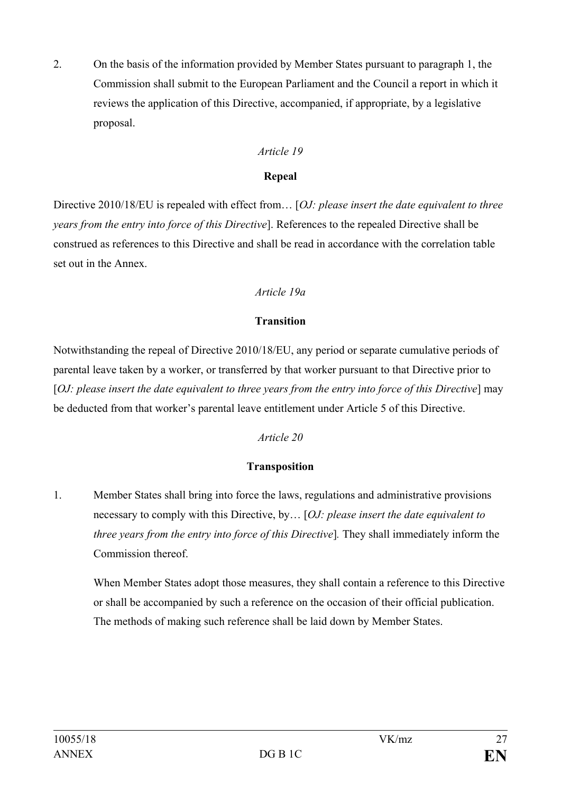2. On the basis of the information provided by Member States pursuant to paragraph 1, the Commission shall submit to the European Parliament and the Council a report in which it reviews the application of this Directive, accompanied, if appropriate, by a legislative proposal.

### *Article 19*

### **Repeal**

Directive 2010/18/EU is repealed with effect from… [*OJ: please insert the date equivalent to three years from the entry into force of this Directive*]. References to the repealed Directive shall be construed as references to this Directive and shall be read in accordance with the correlation table set out in the Annex.

# *Article 19a*

# **Transition**

Notwithstanding the repeal of Directive 2010/18/EU, any period or separate cumulative periods of parental leave taken by a worker, or transferred by that worker pursuant to that Directive prior to [*OJ: please insert the date equivalent to three years from the entry into force of this Directive*] may be deducted from that worker's parental leave entitlement under Article 5 of this Directive.

### *Article 20*

# **Transposition**

1. Member States shall bring into force the laws, regulations and administrative provisions necessary to comply with this Directive, by… [*OJ: please insert the date equivalent to three years from the entry into force of this Directive*]*.* They shall immediately inform the Commission thereof.

When Member States adopt those measures, they shall contain a reference to this Directive or shall be accompanied by such a reference on the occasion of their official publication. The methods of making such reference shall be laid down by Member States.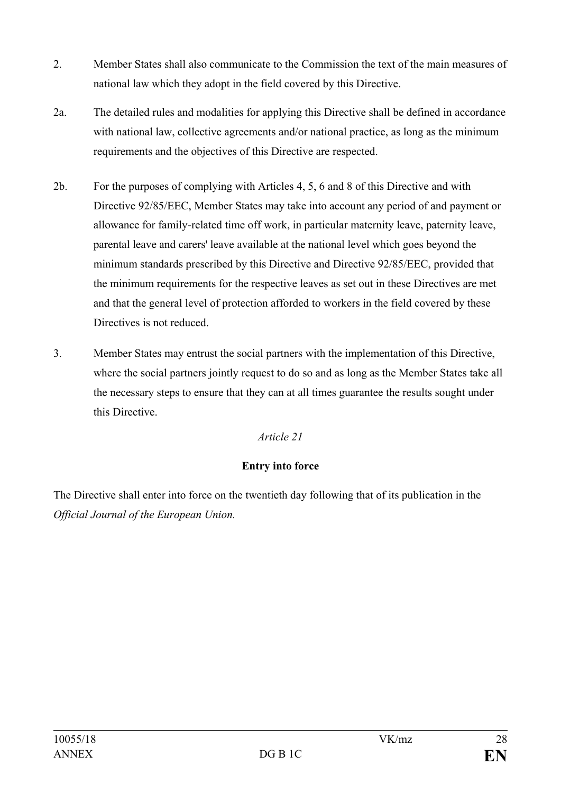- 2. Member States shall also communicate to the Commission the text of the main measures of national law which they adopt in the field covered by this Directive.
- 2a. The detailed rules and modalities for applying this Directive shall be defined in accordance with national law, collective agreements and/or national practice, as long as the minimum requirements and the objectives of this Directive are respected.
- 2b. For the purposes of complying with Articles 4, 5, 6 and 8 of this Directive and with Directive 92/85/EEC, Member States may take into account any period of and payment or allowance for family-related time off work, in particular maternity leave, paternity leave, parental leave and carers' leave available at the national level which goes beyond the minimum standards prescribed by this Directive and Directive 92/85/EEC, provided that the minimum requirements for the respective leaves as set out in these Directives are met and that the general level of protection afforded to workers in the field covered by these Directives is not reduced.
- 3. Member States may entrust the social partners with the implementation of this Directive, where the social partners jointly request to do so and as long as the Member States take all the necessary steps to ensure that they can at all times guarantee the results sought under this Directive.

### **Entry into force**

The Directive shall enter into force on the twentieth day following that of its publication in the *Official Journal of the European Union.*